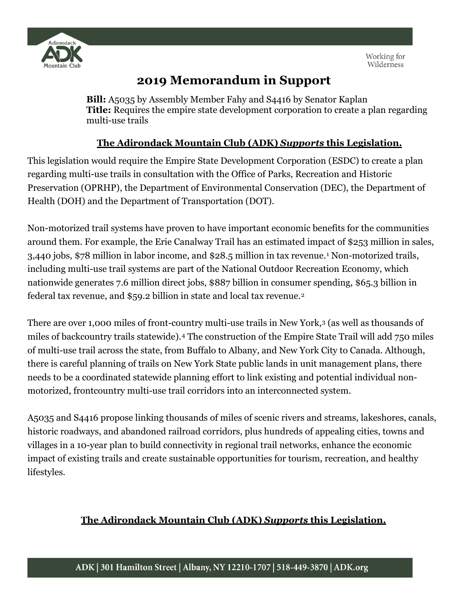

## **2019 Memorandum in Support**

**Bill:** A5035 by Assembly Member Fahy and S4416 by Senator Kaplan **Title:** Requires the empire state development corporation to create a plan regarding multi-use trails

## **The Adirondack Mountain Club (ADK)** *Supports* **this Legislation.**

This legislation would require the Empire State Development Corporation (ESDC) to create a plan regarding multi-use trails in consultation with the Office of Parks, Recreation and Historic Preservation (OPRHP), the Department of Environmental Conservation (DEC), the Department of Health (DOH) and the Department of Transportation (DOT).

Non-motorized trail systems have proven to have important economic benefits for the communities around them. For example, the Erie Canalway Trail has an estimated impact of \$253 million in sales, 3,440 jobs, \$78 million in labor income, and \$28.5 million in tax revenue.[1](#page-1-0) Non-motorized trails, including multi-use trail systems are part of the National Outdoor Recreation Economy, which nationwide generates 7.6 million direct jobs, \$887 billion in consumer spending, \$65.3 billion in federal tax revenue, and \$59.2 billion in state and local tax revenue.[2](#page-1-1)

There are over 1,000 miles of front-country multi-use trails in New York[,3](#page-1-2) (as well as thousands of miles of backcountry trails statewide).[4](#page-1-3) The construction of the Empire State Trail will add 750 miles of multi-use trail across the state, from Buffalo to Albany, and New York City to Canada. Although, there is careful planning of trails on New York State public lands in unit management plans, there needs to be a coordinated statewide planning effort to link existing and potential individual nonmotorized, frontcountry multi-use trail corridors into an interconnected system.

A5035 and S4416 propose linking thousands of miles of scenic rivers and streams, lakeshores, canals, historic roadways, and abandoned railroad corridors, plus hundreds of appealing cities, towns and villages in a 10-year plan to build connectivity in regional trail networks, enhance the economic impact of existing trails and create sustainable opportunities for tourism, recreation, and healthy lifestyles.

## **The Adirondack Mountain Club (ADK)** *Supports* **this Legislation.**